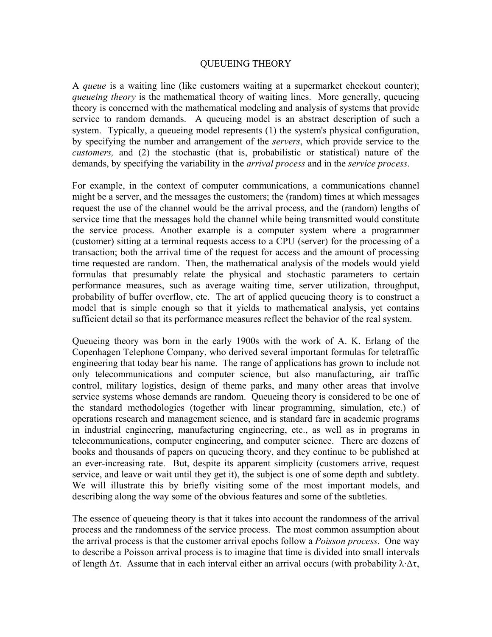## QUEUEING THEORY

A *queue* is a waiting line (like customers waiting at a supermarket checkout counter); *queueing theory* is the mathematical theory of waiting lines. More generally, queueing theory is concerned with the mathematical modeling and analysis of systems that provide service to random demands. A queueing model is an abstract description of such a system. Typically, a queueing model represents (1) the system's physical configuration, by specifying the number and arrangement of the *servers*, which provide service to the *customers,* and (2) the stochastic (that is, probabilistic or statistical) nature of the demands, by specifying the variability in the *arrival process* and in the *service process*.

For example, in the context of computer communications, a communications channel might be a server, and the messages the customers; the (random) times at which messages request the use of the channel would be the arrival process, and the (random) lengths of service time that the messages hold the channel while being transmitted would constitute the service process. Another example is a computer system where a programmer (customer) sitting at a terminal requests access to a CPU (server) for the processing of a transaction; both the arrival time of the request for access and the amount of processing time requested are random. Then, the mathematical analysis of the models would yield formulas that presumably relate the physical and stochastic parameters to certain performance measures, such as average waiting time, server utilization, throughput, probability of buffer overflow, etc. The art of applied queueing theory is to construct a model that is simple enough so that it yields to mathematical analysis, yet contains sufficient detail so that its performance measures reflect the behavior of the real system.

Queueing theory was born in the early 1900s with the work of A. K. Erlang of the Copenhagen Telephone Company, who derived several important formulas for teletraffic engineering that today bear his name. The range of applications has grown to include not only telecommunications and computer science, but also manufacturing, air traffic control, military logistics, design of theme parks, and many other areas that involve service systems whose demands are random. Queueing theory is considered to be one of the standard methodologies (together with linear programming, simulation, etc.) of operations research and management science, and is standard fare in academic programs in industrial engineering, manufacturing engineering, etc., as well as in programs in telecommunications, computer engineering, and computer science. There are dozens of books and thousands of papers on queueing theory, and they continue to be published at an ever-increasing rate. But, despite its apparent simplicity (customers arrive, request service, and leave or wait until they get it), the subject is one of some depth and subtlety. We will illustrate this by briefly visiting some of the most important models, and describing along the way some of the obvious features and some of the subtleties.

The essence of queueing theory is that it takes into account the randomness of the arrival process and the randomness of the service process. The most common assumption about the arrival process is that the customer arrival epochs follow a *Poisson process*. One way to describe a Poisson arrival process is to imagine that time is divided into small intervals of length  $\Delta \tau$ . Assume that in each interval either an arrival occurs (with probability  $\lambda \Delta \tau$ ,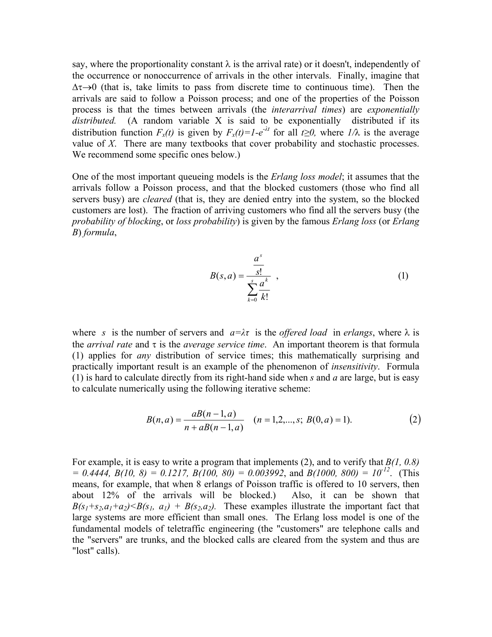say, where the proportionality constant  $\lambda$  is the arrival rate) or it doesn't, independently of the occurrence or nonoccurrence of arrivals in the other intervals. Finally, imagine that  $\Delta \tau \rightarrow 0$  (that is, take limits to pass from discrete time to continuous time). Then the arrivals are said to follow a Poisson process; and one of the properties of the Poisson process is that the times between arrivals (the *interarrival times*) are *exponentially distributed.* (A random variable X is said to be exponentially distributed if its distribution function  $F_x(t)$  is given by  $F_x(t)=1-e^{-\lambda t}$  for all  $t\geq 0$ , where  $1/\lambda$  is the average value of *X*. There are many textbooks that cover probability and stochastic processes. We recommend some specific ones below.)

One of the most important queueing models is the *Erlang loss model*; it assumes that the arrivals follow a Poisson process, and that the blocked customers (those who find all servers busy) are *cleared* (that is, they are denied entry into the system, so the blocked customers are lost). The fraction of arriving customers who find all the servers busy (the *probability of blocking*, or *loss probability*) is given by the famous *Erlang loss* (or *Erlang B*) *formula*,

$$
B(s, a) = \frac{\frac{a^{s}}{s!}}{\sum_{k=0}^{s} \frac{a^{k}}{k!}},
$$
 (1)

where *s* is the number of servers and  $a=\lambda\tau$  is the *offered load* in *erlangs*, where  $\lambda$  is the *arrival rate* and τ is the *average service time*. An important theorem is that formula (1) applies for *any* distribution of service times; this mathematically surprising and practically important result is an example of the phenomenon of *insensitivity*. Formula (1) is hard to calculate directly from its right-hand side when *s* and *a* are large, but is easy to calculate numerically using the following iterative scheme:

$$
B(n,a) = \frac{aB(n-1,a)}{n + aB(n-1,a)} \quad (n = 1,2,...,s; B(0,a) = 1). \tag{2}
$$

For example, it is easy to write a program that implements (2), and to verify that *B(1, 0.8)*  $= 0.4444, B(10, 8) = 0.1217, B(100, 80) = 0.003992$ , and  $B(1000, 800) = 10^{-12}$ . (This means, for example, that when 8 erlangs of Poisson traffic is offered to 10 servers, then about 12% of the arrivals will be blocked.) Also, it can be shown that  $B(s_1+s_2,a_1+a_2) \leq B(s_1, a_1) + B(s_2, a_2)$ . These examples illustrate the important fact that large systems are more efficient than small ones. The Erlang loss model is one of the fundamental models of teletraffic engineering (the "customers" are telephone calls and the "servers" are trunks, and the blocked calls are cleared from the system and thus are "lost" calls).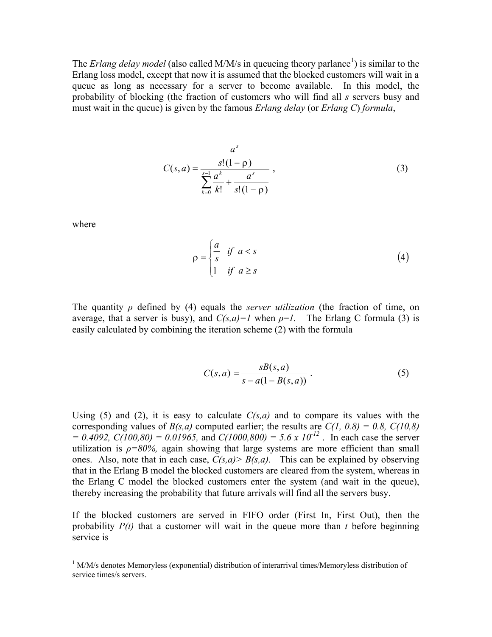The *Erlang delay model* (also called M/M/s in queueing theory parlance<sup>[1](#page-2-0)</sup>) is similar to the Erlang loss model, except that now it is assumed that the blocked customers will wait in a queue as long as necessary for a server to become available. In this model, the probability of blocking (the fraction of customers who will find all *s* servers busy and must wait in the queue) is given by the famous *Erlang delay* (or *Erlang C*) *formula*,

$$
C(s, a) = \frac{\frac{a^{s}}{s!(1-\rho)}}{\sum_{k=0}^{s-1} \frac{a^{k}}{k!} + \frac{a^{s}}{s!(1-\rho)}},
$$
\n(3)

where

 $\overline{a}$ 

$$
\rho = \begin{cases} \frac{a}{s} & \text{if } a < s \\ 1 & \text{if } a \ge s \end{cases} \tag{4}
$$

The quantity *ρ* defined by (4) equals the *server utilization* (the fraction of time, on average, that a server is busy), and  $C(s,a)=1$  when  $\rho=1$ . The Erlang C formula (3) is easily calculated by combining the iteration scheme (2) with the formula

$$
C(s,a) = \frac{sB(s,a)}{s - a(1 - B(s,a))}.
$$
 (5)

Using  $(5)$  and  $(2)$ , it is easy to calculate  $C(s,a)$  and to compare its values with the corresponding values of  $B(s,a)$  computed earlier; the results are  $C(1, 0.8) = 0.8$ ,  $C(10,8)$  $= 0.4092, C(100,80) = 0.01965$ , and  $C(1000,800) = 5.6 \times 10^{-12}$ . In each case the server utilization is  $\rho = 80\%$ , again showing that large systems are more efficient than small ones. Also, note that in each case, *C(s,a)> B(s,a)*. This can be explained by observing that in the Erlang B model the blocked customers are cleared from the system, whereas in the Erlang C model the blocked customers enter the system (and wait in the queue), thereby increasing the probability that future arrivals will find all the servers busy.

If the blocked customers are served in FIFO order (First In, First Out), then the probability *P(t)* that a customer will wait in the queue more than *t* before beginning service is

<span id="page-2-0"></span><sup>&</sup>lt;sup>1</sup> M/M/s denotes Memoryless (exponential) distribution of interarrival times/Memoryless distribution of service times/s servers.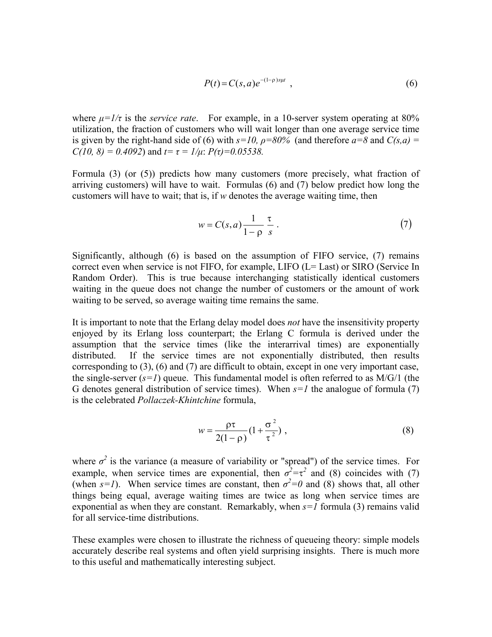$$
P(t) = C(s, a)e^{-(1-\rho)s\mu t}, \qquad (6)
$$

where  $\mu = 1/\tau$  is the *service rate*. For example, in a 10-server system operating at 80% utilization, the fraction of customers who will wait longer than one average service time is given by the right-hand side of (6) with  $s=10$ ,  $\rho=80\%$  (and therefore  $a=8$  and  $C(s,a)$  = *C(10, 8)* = 0.4092) and  $t = \tau = 1/\mu$ :  $P(\tau) = 0.05538$ .

Formula (3) (or (5)) predicts how many customers (more precisely, what fraction of arriving customers) will have to wait. Formulas (6) and (7) below predict how long the customers will have to wait; that is, if *w* denotes the average waiting time, then

$$
w = C(s, a) \frac{1}{1 - \rho} \frac{\tau}{s} . \tag{7}
$$

Significantly, although (6) is based on the assumption of FIFO service, (7) remains correct even when service is not FIFO, for example, LIFO (L= Last) or SIRO (Service In Random Order). This is true because interchanging statistically identical customers waiting in the queue does not change the number of customers or the amount of work waiting to be served, so average waiting time remains the same.

It is important to note that the Erlang delay model does *not* have the insensitivity property enjoyed by its Erlang loss counterpart; the Erlang C formula is derived under the assumption that the service times (like the interarrival times) are exponentially distributed. If the service times are not exponentially distributed, then results corresponding to (3), (6) and (7) are difficult to obtain, except in one very important case, the single-server  $(s=1)$  queue. This fundamental model is often referred to as  $M/G/1$  (the G denotes general distribution of service times). When *s=1* the analogue of formula (7) is the celebrated *Pollaczek-Khintchine* formula,

$$
w = \frac{\rho \tau}{2(1-\rho)} \left(1 + \frac{\sigma^2}{\tau^2}\right),\tag{8}
$$

where  $\sigma^2$  is the variance (a measure of variability or "spread") of the service times. For example, when service times are exponential, then  $\sigma^2 = \tau^2$  and (8) coincides with (7) (when  $s=1$ ). When service times are constant, then  $\sigma^2=0$  and (8) shows that, all other things being equal, average waiting times are twice as long when service times are exponential as when they are constant. Remarkably, when  $s=1$  formula (3) remains valid for all service-time distributions.

These examples were chosen to illustrate the richness of queueing theory: simple models accurately describe real systems and often yield surprising insights. There is much more to this useful and mathematically interesting subject.